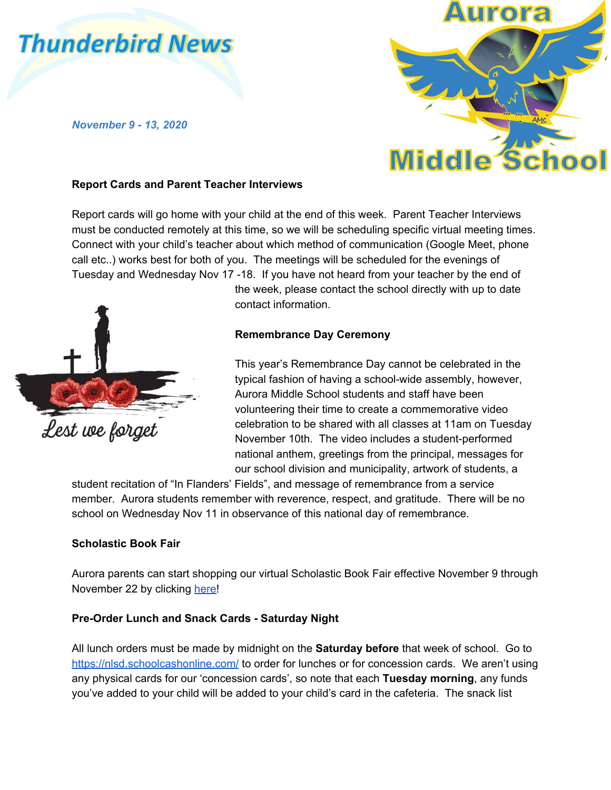# **Thunderbird News**

*November 9 - 13, 2020*



## **Report Cards and Parent Teacher Interviews**

Report cards will go home with your child at the end of this week. Parent Teacher Interviews must be conducted remotely at this time, so we will be scheduling specific virtual meeting times. Connect with your child's teacher about which method of communication (Google Meet, phone call etc..) works best for both of you. The meetings will be scheduled for the evenings of Tuesday and Wednesday Nov 17 -18. If you have not heard from your teacher by the end of



the week, please contact the school directly with up to date contact information.

## **Remembrance Day Ceremony**

This year's Remembrance Day cannot be celebrated in the typical fashion of having a school-wide assembly, however, Aurora Middle School students and staff have been volunteering their time to create a commemorative video celebration to be shared with all classes at 11am on Tuesday November 10th. The video includes a student-performed national anthem, greetings from the principal, messages for our school division and municipality, artwork of students, a

student recitation of "In Flanders' Fields", and message of remembrance from a service member. Aurora students remember with reverence, respect, and gratitude. There will be no school on Wednesday Nov 11 in observance of this national day of remembrance.

#### **Scholastic Book Fair**

Aurora parents can start shopping our virtual Scholastic Book Fair effective November 9 through November 22 by clicking [here!](https://bookfairs-canada.myshopify.com/pages/5150825)

#### **Pre-Order Lunch and Snack Cards - Saturday Night**

All lunch orders must be made by midnight on the **Saturday before** that week of school. Go to <https://nlsd.schoolcashonline.com/> to order for lunches or for concession cards. We aren't using any physical cards for our 'concession cards', so note that each **Tuesday morning**, any funds you've added to your child will be added to your child's card in the cafeteria. The snack list